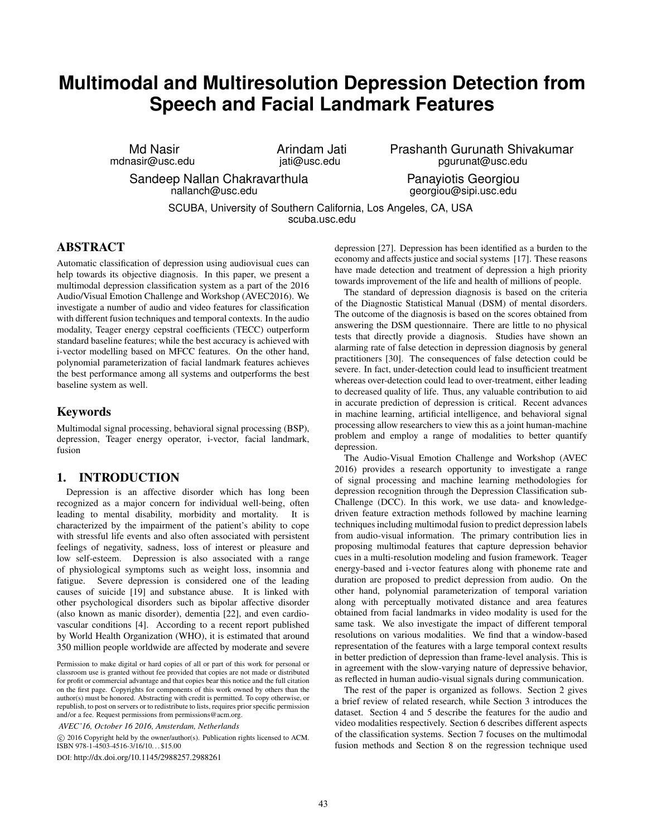# **Multimodal and Multiresolution Depression Detection from Speech and Facial Landmark Features**

Md Nasir mdnasir@usc.edu Arindam Jati jati@usc.edu

Sandeep Nallan Chakravarthula nallanch@usc.edu

Prashanth Gurunath Shivakumar pgurunat@usc.edu

> Panayiotis Georgiou georgiou@sipi.usc.edu

SCUBA, University of Southern California, Los Angeles, CA, USA scuba.usc.edu

# ABSTRACT

Automatic classification of depression using audiovisual cues can help towards its objective diagnosis. In this paper, we present a multimodal depression classification system as a part of the 2016 Audio/Visual Emotion Challenge and Workshop (AVEC2016). We investigate a number of audio and video features for classification with different fusion techniques and temporal contexts. In the audio modality, Teager energy cepstral coefficients (TECC) outperform standard baseline features; while the best accuracy is achieved with i-vector modelling based on MFCC features. On the other hand, polynomial parameterization of facial landmark features achieves the best performance among all systems and outperforms the best baseline system as well.

# Keywords

Multimodal signal processing, behavioral signal processing (BSP), depression, Teager energy operator, i-vector, facial landmark, fusion

# 1. INTRODUCTION

Depression is an affective disorder which has long been recognized as a major concern for individual well-being, often leading to mental disability, morbidity and mortality. It is characterized by the impairment of the patient's ability to cope with stressful life events and also often associated with persistent feelings of negativity, sadness, loss of interest or pleasure and low self-esteem. Depression is also associated with a range of physiological symptoms such as weight loss, insomnia and fatigue. Severe depression is considered one of the leading causes of suicide [19] and substance abuse. It is linked with other psychological disorders such as bipolar affective disorder (also known as manic disorder), dementia [22], and even cardiovascular conditions [4]. According to a recent report published by World Health Organization (WHO), it is estimated that around 350 million people worldwide are affected by moderate and severe

*AVEC'16, October 16 2016, Amsterdam, Netherlands*

 c 2016 Copyright held by the owner/author(s). Publication rights licensed to ACM. ISBN 978-1-4503-4516-3/16/10. . . \$15.00

DOI: http://dx.doi.org/10.1145/2988257.2988261

depression [27]. Depression has been identified as a burden to the economy and affects justice and social systems [17]. These reasons have made detection and treatment of depression a high priority towards improvement of the life and health of millions of people.

The standard of depression diagnosis is based on the criteria of the Diagnostic Statistical Manual (DSM) of mental disorders. The outcome of the diagnosis is based on the scores obtained from answering the DSM questionnaire. There are little to no physical tests that directly provide a diagnosis. Studies have shown an alarming rate of false detection in depression diagnosis by general practitioners [30]. The consequences of false detection could be severe. In fact, under-detection could lead to insufficient treatment whereas over-detection could lead to over-treatment, either leading to decreased quality of life. Thus, any valuable contribution to aid in accurate prediction of depression is critical. Recent advances in machine learning, artificial intelligence, and behavioral signal processing allow researchers to view this as a joint human-machine problem and employ a range of modalities to better quantify depression.

The Audio-Visual Emotion Challenge and Workshop (AVEC 2016) provides a research opportunity to investigate a range of signal processing and machine learning methodologies for depression recognition through the Depression Classification sub-Challenge (DCC). In this work, we use data- and knowledgedriven feature extraction methods followed by machine learning techniques including multimodal fusion to predict depression labels from audio-visual information. The primary contribution lies in proposing multimodal features that capture depression behavior cues in a multi-resolution modeling and fusion framework. Teager energy-based and i-vector features along with phoneme rate and duration are proposed to predict depression from audio. On the other hand, polynomial parameterization of temporal variation along with perceptually motivated distance and area features obtained from facial landmarks in video modality is used for the same task. We also investigate the impact of different temporal resolutions on various modalities. We find that a window-based representation of the features with a large temporal context results in better prediction of depression than frame-level analysis. This is in agreement with the slow-varying nature of depressive behavior, as reflected in human audio-visual signals during communication.

The rest of the paper is organized as follows. Section 2 gives a brief review of related research, while Section 3 introduces the dataset. Section 4 and 5 describe the features for the audio and video modalities respectively. Section 6 describes different aspects of the classification systems. Section 7 focuses on the multimodal fusion methods and Section 8 on the regression technique used

Permission to make digital or hard copies of all or part of this work for personal or classroom use is granted without fee provided that copies are not made or distributed for profit or commercial advantage and that copies bear this notice and the full citation on the first page. Copyrights for components of this work owned by others than the author(s) must be honored. Abstracting with credit is permitted. To copy otherwise, or republish, to post on servers or to redistribute to lists, requires prior specific permission and/or a fee. Request permissions from permissions@acm.org.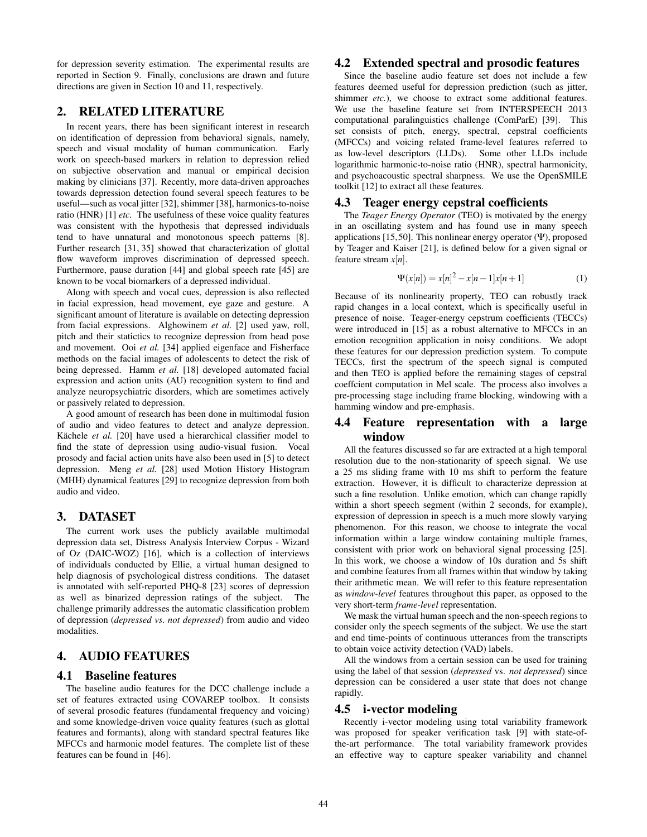for depression severity estimation. The experimental results are reported in Section 9. Finally, conclusions are drawn and future directions are given in Section 10 and 11, respectively.

## 2. RELATED LITERATURE

In recent years, there has been significant interest in research on identification of depression from behavioral signals, namely, speech and visual modality of human communication. Early work on speech-based markers in relation to depression relied on subjective observation and manual or empirical decision making by clinicians [37]. Recently, more data-driven approaches towards depression detection found several speech features to be useful—such as vocal jitter [32], shimmer [38], harmonics-to-noise ratio (HNR) [1] *etc.* The usefulness of these voice quality features was consistent with the hypothesis that depressed individuals tend to have unnatural and monotonous speech patterns [8]. Further research [31, 35] showed that characterization of glottal flow waveform improves discrimination of depressed speech. Furthermore, pause duration [44] and global speech rate [45] are known to be vocal biomarkers of a depressed individual.

Along with speech and vocal cues, depression is also reflected in facial expression, head movement, eye gaze and gesture. A significant amount of literature is available on detecting depression from facial expressions. Alghowinem *et al.* [2] used yaw, roll, pitch and their statictics to recognize depression from head pose and movement. Ooi *et al.* [34] applied eigenface and Fisherface methods on the facial images of adolescents to detect the risk of being depressed. Hamm *et al.* [18] developed automated facial expression and action units (AU) recognition system to find and analyze neuropsychiatric disorders, which are sometimes actively or passively related to depression.

A good amount of research has been done in multimodal fusion of audio and video features to detect and analyze depression. Kächele *et al.* [20] have used a hierarchical classifier model to find the state of depression using audio-visual fusion. Vocal prosody and facial action units have also been used in [5] to detect depression. Meng *et al.* [28] used Motion History Histogram (MHH) dynamical features [29] to recognize depression from both audio and video.

## 3. DATASET

The current work uses the publicly available multimodal depression data set, Distress Analysis Interview Corpus - Wizard of Oz (DAIC-WOZ) [16], which is a collection of interviews of individuals conducted by Ellie, a virtual human designed to help diagnosis of psychological distress conditions. The dataset is annotated with self-reported PHQ-8 [23] scores of depression as well as binarized depression ratings of the subject. The challenge primarily addresses the automatic classification problem of depression (*depressed vs. not depressed*) from audio and video modalities.

# 4. AUDIO FEATURES

## 4.1 Baseline features

The baseline audio features for the DCC challenge include a set of features extracted using COVAREP toolbox. It consists of several prosodic features (fundamental frequency and voicing) and some knowledge-driven voice quality features (such as glottal features and formants), along with standard spectral features like MFCCs and harmonic model features. The complete list of these features can be found in [46].

## 4.2 Extended spectral and prosodic features

Since the baseline audio feature set does not include a few features deemed useful for depression prediction (such as jitter, shimmer *etc.*), we choose to extract some additional features. We use the baseline feature set from INTERSPEECH 2013 computational paralinguistics challenge (ComParE) [39]. This set consists of pitch, energy, spectral, cepstral coefficients (MFCCs) and voicing related frame-level features referred to as low-level descriptors (LLDs). Some other LLDs include logarithmic harmonic-to-noise ratio (HNR), spectral harmonicity, and psychoacoustic spectral sharpness. We use the OpenSMILE toolkit [12] to extract all these features.

## 4.3 Teager energy cepstral coefficients

The *Teager Energy Operator* (TEO) is motivated by the energy in an oscillating system and has found use in many speech applications [15,50]. This nonlinear energy operator  $(\Psi)$ , proposed by Teager and Kaiser [21], is defined below for a given signal or feature stream *x*[*n*].

$$
\Psi(x[n]) = x[n]^2 - x[n-1]x[n+1] \tag{1}
$$

Because of its nonlinearity property, TEO can robustly track rapid changes in a local context, which is specifically useful in presence of noise. Teager-energy cepstrum coefficients (TECCs) were introduced in [15] as a robust alternative to MFCCs in an emotion recognition application in noisy conditions. We adopt these features for our depression prediction system. To compute TECCs, first the spectrum of the speech signal is computed and then TEO is applied before the remaining stages of cepstral coeffcient computation in Mel scale. The process also involves a pre-processing stage including frame blocking, windowing with a hamming window and pre-emphasis.

## 4.4 Feature representation with a large window

All the features discussed so far are extracted at a high temporal resolution due to the non-stationarity of speech signal. We use a 25 ms sliding frame with 10 ms shift to perform the feature extraction. However, it is difficult to characterize depression at such a fine resolution. Unlike emotion, which can change rapidly within a short speech segment (within 2 seconds, for example), expression of depression in speech is a much more slowly varying phenomenon. For this reason, we choose to integrate the vocal information within a large window containing multiple frames, consistent with prior work on behavioral signal processing [25]. In this work, we choose a window of 10s duration and 5s shift and combine features from all frames within that window by taking their arithmetic mean. We will refer to this feature representation as *window-level* features throughout this paper, as opposed to the very short-term *frame-level* representation.

We mask the virtual human speech and the non-speech regions to consider only the speech segments of the subject. We use the start and end time-points of continuous utterances from the transcripts to obtain voice activity detection (VAD) labels.

All the windows from a certain session can be used for training using the label of that session (*depressed* vs. *not depressed*) since depression can be considered a user state that does not change rapidly.

## 4.5 i-vector modeling

Recently i-vector modeling using total variability framework was proposed for speaker verification task [9] with state-ofthe-art performance. The total variability framework provides an effective way to capture speaker variability and channel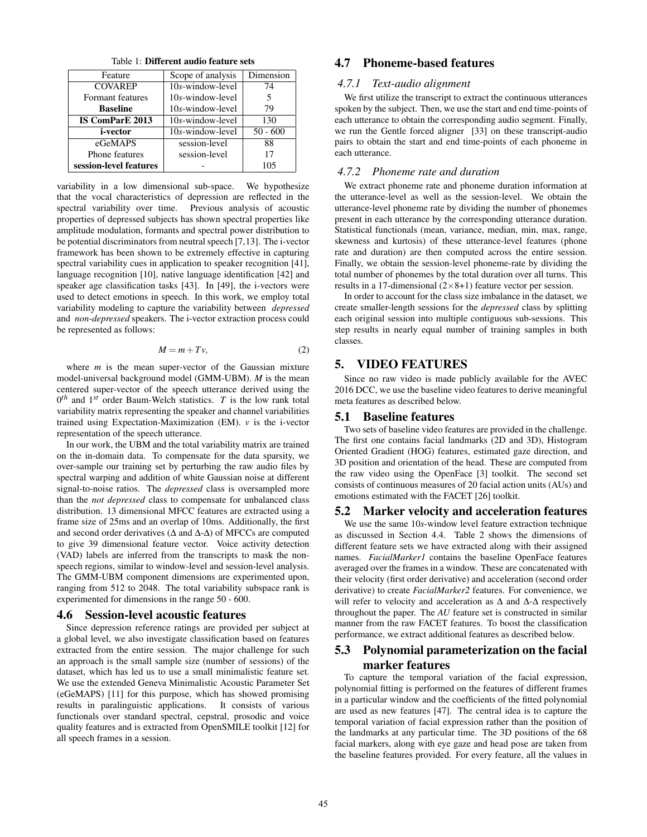Table 1: Different audio feature sets

| Feature                | Scope of analysis   | Dimension  |
|------------------------|---------------------|------------|
| <b>COVAREP</b>         | $10s$ -window-level | 74         |
| Formant features       | $10s$ -window-level |            |
| <b>Baseline</b>        | 10s-window-level    | 79         |
| <b>IS ComParE 2013</b> | 10s-window-level    | 130        |
| <i>i</i> -vector       | 10s-window-level    | $50 - 600$ |
| eGeMAPS                | session-level       | 88         |
| Phone features         | session-level       | 17         |
| session-level features |                     | 105        |

variability in a low dimensional sub-space. We hypothesize that the vocal characteristics of depression are reflected in the spectral variability over time. Previous analysis of acoustic properties of depressed subjects has shown spectral properties like amplitude modulation, formants and spectral power distribution to be potential discriminators from neutral speech [7,13]. The i-vector framework has been shown to be extremely effective in capturing spectral variability cues in application to speaker recognition [41], language recognition [10], native language identification [42] and speaker age classification tasks [43]. In [49], the i-vectors were used to detect emotions in speech. In this work, we employ total variability modeling to capture the variability between *depressed* and *non-depressed* speakers. The i-vector extraction process could be represented as follows:

$$
M = m + Tv,\t\t(2)
$$

where *m* is the mean super-vector of the Gaussian mixture model-universal background model (GMM-UBM). *M* is the mean centered super-vector of the speech utterance derived using the  $0<sup>th</sup>$  and 1<sup>st</sup> order Baum-Welch statistics. *T* is the low rank total variability matrix representing the speaker and channel variabilities trained using Expectation-Maximization (EM). *v* is the i-vector representation of the speech utterance.

In our work, the UBM and the total variability matrix are trained on the in-domain data. To compensate for the data sparsity, we over-sample our training set by perturbing the raw audio files by spectral warping and addition of white Gaussian noise at different signal-to-noise ratios. The *depressed* class is oversampled more than the *not depressed* class to compensate for unbalanced class distribution. 13 dimensional MFCC features are extracted using a frame size of 25ms and an overlap of 10ms. Additionally, the first and second order derivatives ( $\Delta$  and  $\Delta$ - $\Delta$ ) of MFCCs are computed to give 39 dimensional feature vector. Voice activity detection (VAD) labels are inferred from the transcripts to mask the nonspeech regions, similar to window-level and session-level analysis. The GMM-UBM component dimensions are experimented upon, ranging from 512 to 2048. The total variability subspace rank is experimented for dimensions in the range 50 - 600.

### 4.6 Session-level acoustic features

Since depression reference ratings are provided per subject at a global level, we also investigate classification based on features extracted from the entire session. The major challenge for such an approach is the small sample size (number of sessions) of the dataset, which has led us to use a small minimalistic feature set. We use the extended Geneva Minimalistic Acoustic Parameter Set (eGeMAPS) [11] for this purpose, which has showed promising results in paralinguistic applications. It consists of various functionals over standard spectral, cepstral, prosodic and voice quality features and is extracted from OpenSMILE toolkit [12] for all speech frames in a session.

# 4.7 Phoneme-based features

#### *4.7.1 Text-audio alignment*

We first utilize the transcript to extract the continuous utterances spoken by the subject. Then, we use the start and end time-points of each utterance to obtain the corresponding audio segment. Finally, we run the Gentle forced aligner [33] on these transcript-audio pairs to obtain the start and end time-points of each phoneme in each utterance.

## *4.7.2 Phoneme rate and duration*

We extract phoneme rate and phoneme duration information at the utterance-level as well as the session-level. We obtain the utterance-level phoneme rate by dividing the number of phonemes present in each utterance by the corresponding utterance duration. Statistical functionals (mean, variance, median, min, max, range, skewness and kurtosis) of these utterance-level features (phone rate and duration) are then computed across the entire session. Finally, we obtain the session-level phoneme-rate by dividing the total number of phonemes by the total duration over all turns. This results in a 17-dimensional (2×8+1) feature vector per session.

In order to account for the class size imbalance in the dataset, we create smaller-length sessions for the *depressed* class by splitting each original session into multiple contiguous sub-sessions. This step results in nearly equal number of training samples in both classes.

## 5. VIDEO FEATURES

Since no raw video is made publicly available for the AVEC 2016 DCC, we use the baseline video features to derive meaningful meta features as described below.

#### 5.1 Baseline features

Two sets of baseline video features are provided in the challenge. The first one contains facial landmarks (2D and 3D), Histogram Oriented Gradient (HOG) features, estimated gaze direction, and 3D position and orientation of the head. These are computed from the raw video using the OpenFace [3] toolkit. The second set consists of continuous measures of 20 facial action units (AUs) and emotions estimated with the FACET [26] toolkit.

## 5.2 Marker velocity and acceleration features

We use the same 10*s*-window level feature extraction technique as discussed in Section 4.4. Table 2 shows the dimensions of different feature sets we have extracted along with their assigned names. *FacialMarker1* contains the baseline OpenFace features averaged over the frames in a window. These are concatenated with their velocity (first order derivative) and acceleration (second order derivative) to create *FacialMarker2* features. For convenience, we will refer to velocity and acceleration as  $\Delta$  and  $\Delta$ - $\Delta$  respectively throughout the paper. The *AU* feature set is constructed in similar manner from the raw FACET features. To boost the classification performance, we extract additional features as described below.

# 5.3 Polynomial parameterization on the facial marker features

To capture the temporal variation of the facial expression, polynomial fitting is performed on the features of different frames in a particular window and the coefficients of the fitted polynomial are used as new features [47]. The central idea is to capture the temporal variation of facial expression rather than the position of the landmarks at any particular time. The 3D positions of the 68 facial markers, along with eye gaze and head pose are taken from the baseline features provided. For every feature, all the values in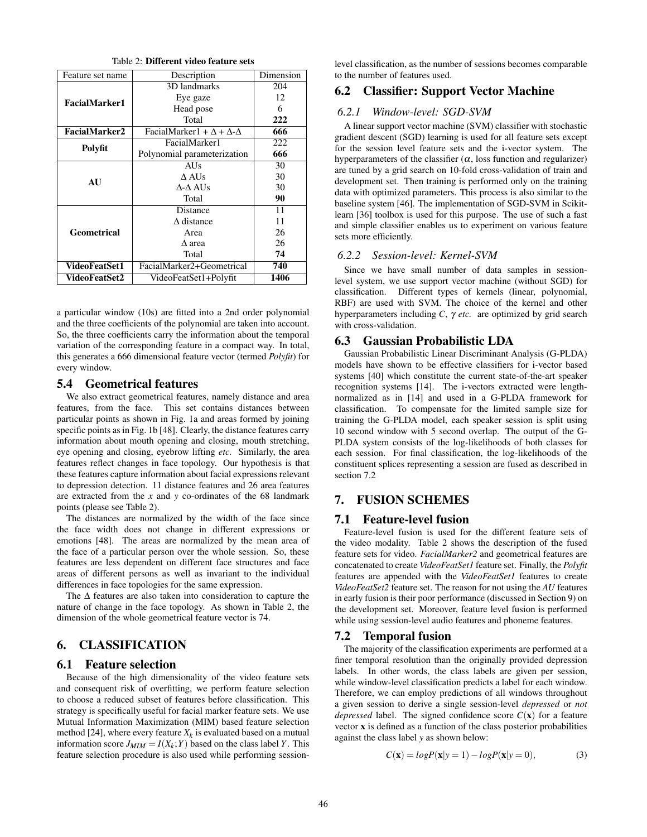Table 2: Different video feature sets

| Feature set name     | Description                                    | Dimension |
|----------------------|------------------------------------------------|-----------|
|                      | 3D landmarks                                   | 204       |
|                      | Eye gaze                                       | 12        |
| <b>FacialMarker1</b> | Head pose                                      | 6         |
|                      | Total                                          | 222       |
| FacialMarker2        | FacialMarker1 + $\Delta$ + $\Delta$ - $\Delta$ | 666       |
|                      | FacialMarker1                                  | 222       |
| Polyfit              | Polynomial parameterization                    | 666       |
|                      | <b>AUs</b>                                     | 30        |
| AU                   | $\triangle$ AUs                                | 30        |
|                      | $\Delta$ - $\Delta$ AUs                        | 30        |
|                      | Total                                          | 90        |
|                      | Distance                                       | 11        |
|                      | Δ distance                                     | 11        |
| Geometrical          | Area                                           | 26        |
|                      | Δ area                                         | 26        |
|                      | Total                                          | 74        |
| <b>VideoFeatSet1</b> | FacialMarker2+Geometrical                      | 740       |
| VideoFeatSet2        | VideoFeatSet1+Polyfit                          | 1406      |

a particular window (10s) are fitted into a 2nd order polynomial and the three coefficients of the polynomial are taken into account. So, the three coefficients carry the information about the temporal variation of the corresponding feature in a compact way. In total, this generates a 666 dimensional feature vector (termed *Polyfit*) for every window.

## 5.4 Geometrical features

We also extract geometrical features, namely distance and area features, from the face. This set contains distances between particular points as shown in Fig. 1a and areas formed by joining specific points as in Fig. 1b [48]. Clearly, the distance features carry information about mouth opening and closing, mouth stretching, eye opening and closing, eyebrow lifting *etc.* Similarly, the area features reflect changes in face topology. Our hypothesis is that these features capture information about facial expressions relevant to depression detection. 11 distance features and 26 area features are extracted from the *x* and *y* co-ordinates of the 68 landmark points (please see Table 2).

The distances are normalized by the width of the face since the face width does not change in different expressions or emotions [48]. The areas are normalized by the mean area of the face of a particular person over the whole session. So, these features are less dependent on different face structures and face areas of different persons as well as invariant to the individual differences in face topologies for the same expression.

The ∆ features are also taken into consideration to capture the nature of change in the face topology. As shown in Table 2, the dimension of the whole geometrical feature vector is 74.

# 6. CLASSIFICATION

## 6.1 Feature selection

Because of the high dimensionality of the video feature sets and consequent risk of overfitting, we perform feature selection to choose a reduced subset of features before classification. This strategy is specifically useful for facial marker feature sets. We use Mutual Information Maximization (MIM) based feature selection method [24], where every feature  $X_k$  is evaluated based on a mutual information score  $J_{MIM} = I(X_k; Y)$  based on the class label *Y*. This feature selection procedure is also used while performing sessionlevel classification, as the number of sessions becomes comparable to the number of features used.

# 6.2 Classifier: Support Vector Machine

## *6.2.1 Window-level: SGD-SVM*

A linear support vector machine (SVM) classifier with stochastic gradient descent (SGD) learning is used for all feature sets except for the session level feature sets and the i-vector system. The hyperparameters of the classifier  $(\alpha)$ , loss function and regularizer) are tuned by a grid search on 10-fold cross-validation of train and development set. Then training is performed only on the training data with optimized parameters. This process is also similar to the baseline system [46]. The implementation of SGD-SVM in Scikitlearn [36] toolbox is used for this purpose. The use of such a fast and simple classifier enables us to experiment on various feature sets more efficiently.

#### *6.2.2 Session-level: Kernel-SVM*

Since we have small number of data samples in sessionlevel system, we use support vector machine (without SGD) for classification. Different types of kernels (linear, polynomial, RBF) are used with SVM. The choice of the kernel and other hyperparameters including *C*, γ *etc.* are optimized by grid search with cross-validation.

## 6.3 Gaussian Probabilistic LDA

Gaussian Probabilistic Linear Discriminant Analysis (G-PLDA) models have shown to be effective classifiers for i-vector based systems [40] which constitute the current state-of-the-art speaker recognition systems [14]. The i-vectors extracted were lengthnormalized as in [14] and used in a G-PLDA framework for classification. To compensate for the limited sample size for training the G-PLDA model, each speaker session is split using 10 second window with 5 second overlap. The output of the G-PLDA system consists of the log-likelihoods of both classes for each session. For final classification, the log-likelihoods of the constituent splices representing a session are fused as described in section 7.2

# 7. FUSION SCHEMES

## 7.1 Feature-level fusion

Feature-level fusion is used for the different feature sets of the video modality. Table 2 shows the description of the fused feature sets for video. *FacialMarker2* and geometrical features are concatenated to create *VideoFeatSet1* feature set. Finally, the *Polyfit* features are appended with the *VideoFeatSet1* features to create *VideoFeatSet2* feature set. The reason for not using the *AU* features in early fusion is their poor performance (discussed in Section 9) on the development set. Moreover, feature level fusion is performed while using session-level audio features and phoneme features.

## 7.2 Temporal fusion

The majority of the classification experiments are performed at a finer temporal resolution than the originally provided depression labels. In other words, the class labels are given per session, while window-level classification predicts a label for each window. Therefore, we can employ predictions of all windows throughout a given session to derive a single session-level *depressed* or *not depressed* label. The signed confidence score  $C(\mathbf{x})$  for a feature vector x is defined as a function of the class posterior probabilities against the class label *y* as shown below:

$$
C(\mathbf{x}) = \log P(\mathbf{x}|y=1) - \log P(\mathbf{x}|y=0),\tag{3}
$$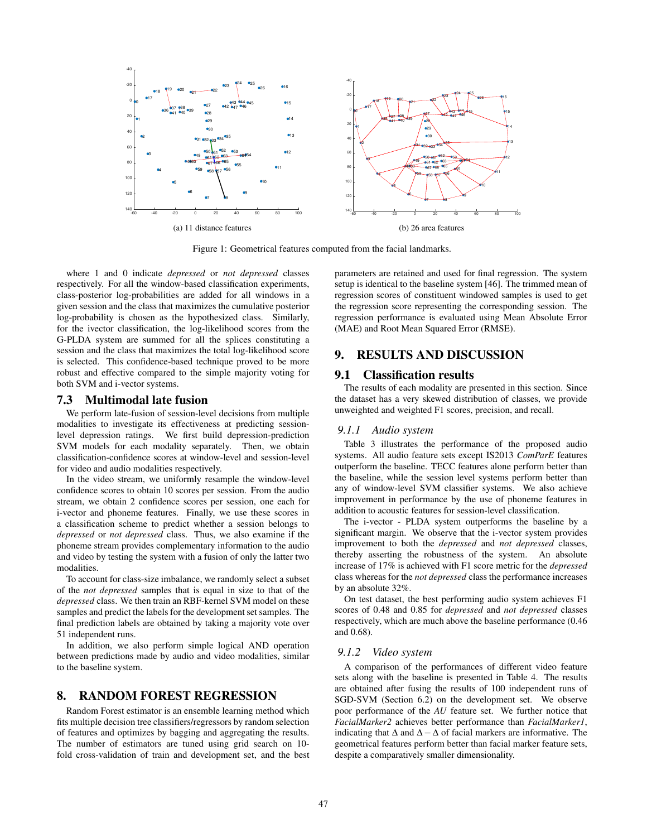

Figure 1: Geometrical features computed from the facial landmarks.

where 1 and 0 indicate *depressed* or *not depressed* classes respectively. For all the window-based classification experiments, class-posterior log-probabilities are added for all windows in a given session and the class that maximizes the cumulative posterior log-probability is chosen as the hypothesized class. Similarly, for the ivector classification, the log-likelihood scores from the G-PLDA system are summed for all the splices constituting a session and the class that maximizes the total log-likelihood score is selected. This confidence-based technique proved to be more robust and effective compared to the simple majority voting for both SVM and i-vector systems.

### 7.3 Multimodal late fusion

We perform late-fusion of session-level decisions from multiple modalities to investigate its effectiveness at predicting sessionlevel depression ratings. We first build depression-prediction SVM models for each modality separately. Then, we obtain classification-confidence scores at window-level and session-level for video and audio modalities respectively.

In the video stream, we uniformly resample the window-level confidence scores to obtain 10 scores per session. From the audio stream, we obtain 2 confidence scores per session, one each for i-vector and phoneme features. Finally, we use these scores in a classification scheme to predict whether a session belongs to *depressed* or *not depressed* class. Thus, we also examine if the phoneme stream provides complementary information to the audio and video by testing the system with a fusion of only the latter two modalities.

To account for class-size imbalance, we randomly select a subset of the *not depressed* samples that is equal in size to that of the *depressed* class. We then train an RBF-kernel SVM model on these samples and predict the labels for the development set samples. The final prediction labels are obtained by taking a majority vote over 51 independent runs.

In addition, we also perform simple logical AND operation between predictions made by audio and video modalities, similar to the baseline system.

#### 8. RANDOM FOREST REGRESSION

Random Forest estimator is an ensemble learning method which fits multiple decision tree classifiers/regressors by random selection of features and optimizes by bagging and aggregating the results. The number of estimators are tuned using grid search on 10 fold cross-validation of train and development set, and the best parameters are retained and used for final regression. The system setup is identical to the baseline system [46]. The trimmed mean of regression scores of constituent windowed samples is used to get the regression score representing the corresponding session. The regression performance is evaluated using Mean Absolute Error (MAE) and Root Mean Squared Error (RMSE).

## 9. RESULTS AND DISCUSSION

## 9.1 Classification results

The results of each modality are presented in this section. Since the dataset has a very skewed distribution of classes, we provide unweighted and weighted F1 scores, precision, and recall.

#### *9.1.1 Audio system*

Table 3 illustrates the performance of the proposed audio systems. All audio feature sets except IS2013 *ComParE* features outperform the baseline. TECC features alone perform better than the baseline, while the session level systems perform better than any of window-level SVM classifier systems. We also achieve improvement in performance by the use of phoneme features in addition to acoustic features for session-level classification.

The i-vector - PLDA system outperforms the baseline by a significant margin. We observe that the i-vector system provides improvement to both the *depressed* and *not depressed* classes, thereby asserting the robustness of the system. An absolute increase of 17% is achieved with F1 score metric for the *depressed* class whereas for the *not depressed* class the performance increases by an absolute 32%.

On test dataset, the best performing audio system achieves F1 scores of 0.48 and 0.85 for *depressed* and *not depressed* classes respectively, which are much above the baseline performance (0.46 and 0.68).

#### *9.1.2 Video system*

A comparison of the performances of different video feature sets along with the baseline is presented in Table 4. The results are obtained after fusing the results of 100 independent runs of SGD-SVM (Section 6.2) on the development set. We observe poor performance of the *AU* feature set. We further notice that *FacialMarker2* achieves better performance than *FacialMarker1*, indicating that  $\Delta$  and  $\Delta - \Delta$  of facial markers are informative. The geometrical features perform better than facial marker feature sets, despite a comparatively smaller dimensionality.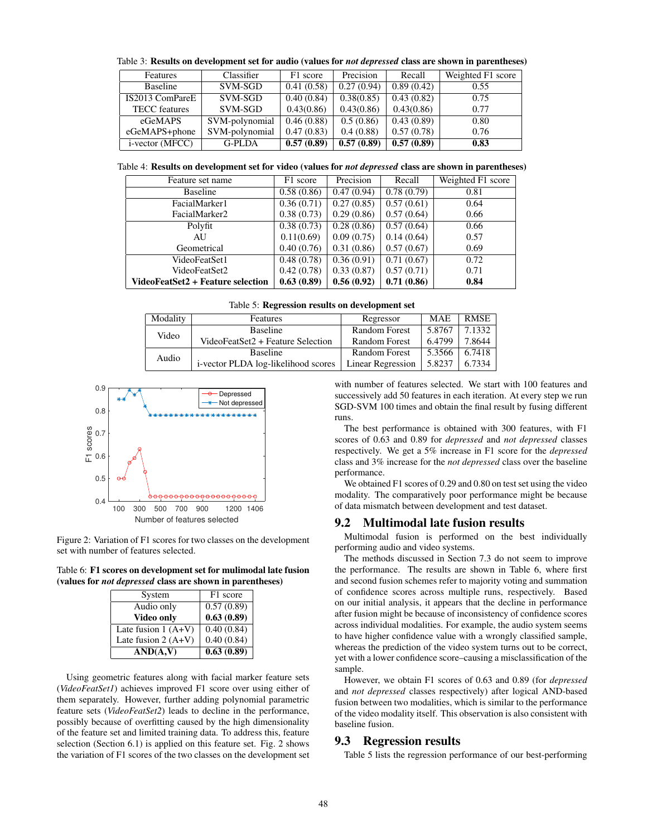Table 3: Results on development set for audio (values for *not depressed* class are shown in parentheses)

| Features                | Classifier     | F1 score   | Precision  | Recall     | Weighted F1 score |
|-------------------------|----------------|------------|------------|------------|-------------------|
| <b>Baseline</b>         | SVM-SGD        | 0.41(0.58) | 0.27(0.94) | 0.89(0.42) | 0.55              |
| IS2013 ComPareE         | SVM-SGD        | 0.40(0.84) | 0.38(0.85) | 0.43(0.82) | 0.75              |
| <b>TECC</b> features    | SVM-SGD        | 0.43(0.86) | 0.43(0.86) | 0.43(0.86) | 0.77              |
| eGeMAPS                 | SVM-polynomial | 0.46(0.88) | 0.5(0.86)  | 0.43(0.89) | 0.80              |
| eGeMAPS+phone           | SVM-polynomial | 0.47(0.83) | 0.4(0.88)  | 0.57(0.78) | 0.76              |
| <i>i</i> -vector (MFCC) | <b>G-PLDA</b>  | 0.57(0.89) | 0.57(0.89) | 0.57(0.89) | 0.83              |

Table 4: Results on development set for video (values for *not depressed* class are shown in parentheses)

| Feature set name                  | F1 score   | Precision  | Recall     | Weighted F1 score |
|-----------------------------------|------------|------------|------------|-------------------|
| <b>Baseline</b>                   | 0.58(0.86) | 0.47(0.94) | 0.78(0.79) | 0.81              |
| FacialMarker1                     | 0.36(0.71) | 0.27(0.85) | 0.57(0.61) | 0.64              |
| FacialMarker2                     | 0.38(0.73) | 0.29(0.86) | 0.57(0.64) | 0.66              |
| Polyfit                           | 0.38(0.73) | 0.28(0.86) | 0.57(0.64) | 0.66              |
| AU                                | 0.11(0.69) | 0.09(0.75) | 0.14(0.64) | 0.57              |
| Geometrical                       | 0.40(0.76) | 0.31(0.86) | 0.57(0.67) | 0.69              |
| VideoFeatSet1                     | 0.48(0.78) | 0.36(0.91) | 0.71(0.67) | 0.72              |
| VideoFeatSet2                     | 0.42(0.78) | 0.33(0.87) | 0.57(0.71) | 0.71              |
| VideoFeatSet2 + Feature selection | 0.63(0.89) | 0.56(0.92) | 0.71(0.86) | 0.84              |

|  | Table 5: Regression results on development set |  |  |  |  |  |
|--|------------------------------------------------|--|--|--|--|--|
|--|------------------------------------------------|--|--|--|--|--|

| Modality                 | Features                            | Regressor            | <b>MAE</b> | <b>RMSE</b> |
|--------------------------|-------------------------------------|----------------------|------------|-------------|
| <b>Baseline</b><br>Video |                                     | <b>Random Forest</b> | 5.8767     | 7.1332      |
|                          | VideoFeatSet2 + Feature Selection   | <b>Random Forest</b> | 6.4799     | 7.8644      |
| Audio                    | <b>Baseline</b>                     | <b>Random Forest</b> | 5.3566     | 6.7418      |
|                          | i-vector PLDA log-likelihood scores | Linear Regression    | 5.8237     | 6.7334      |



Figure 2: Variation of F1 scores for two classes on the development set with number of features selected.

Table 6: F1 scores on development set for mulimodal late fusion (values for *not depressed* class are shown in parentheses)

| System               | F1 score   |  |  |
|----------------------|------------|--|--|
| Audio only           | 0.57(0.89) |  |  |
| Video only           | 0.63(0.89) |  |  |
| Late fusion $1(A+V)$ | 0.40(0.84) |  |  |
| Late fusion $2(A+V)$ | 0.40(0.84) |  |  |
| AND(A,V)             | 0.63(0.89) |  |  |

Using geometric features along with facial marker feature sets (*VideoFeatSet1*) achieves improved F1 score over using either of them separately. However, further adding polynomial parametric feature sets (*VideoFeatSet2*) leads to decline in the performance, possibly because of overfitting caused by the high dimensionality of the feature set and limited training data. To address this, feature selection (Section 6.1) is applied on this feature set. Fig. 2 shows the variation of F1 scores of the two classes on the development set

with number of features selected. We start with 100 features and successively add 50 features in each iteration. At every step we run SGD-SVM 100 times and obtain the final result by fusing different runs.

The best performance is obtained with 300 features, with F1 scores of 0.63 and 0.89 for *depressed* and *not depressed* classes respectively. We get a 5% increase in F1 score for the *depressed* class and 3% increase for the *not depressed* class over the baseline performance.

We obtained F1 scores of 0.29 and 0.80 on test set using the video modality. The comparatively poor performance might be because of data mismatch between development and test dataset.

#### 9.2 Multimodal late fusion results

Multimodal fusion is performed on the best individually performing audio and video systems.

The methods discussed in Section 7.3 do not seem to improve the performance. The results are shown in Table 6, where first and second fusion schemes refer to majority voting and summation of confidence scores across multiple runs, respectively. Based on our initial analysis, it appears that the decline in performance after fusion might be because of inconsistency of confidence scores across individual modalities. For example, the audio system seems to have higher confidence value with a wrongly classified sample, whereas the prediction of the video system turns out to be correct, yet with a lower confidence score–causing a misclassification of the sample.

However, we obtain F1 scores of 0.63 and 0.89 (for *depressed* and *not depressed* classes respectively) after logical AND-based fusion between two modalities, which is similar to the performance of the video modality itself. This observation is also consistent with baseline fusion.

## 9.3 Regression results

Table 5 lists the regression performance of our best-performing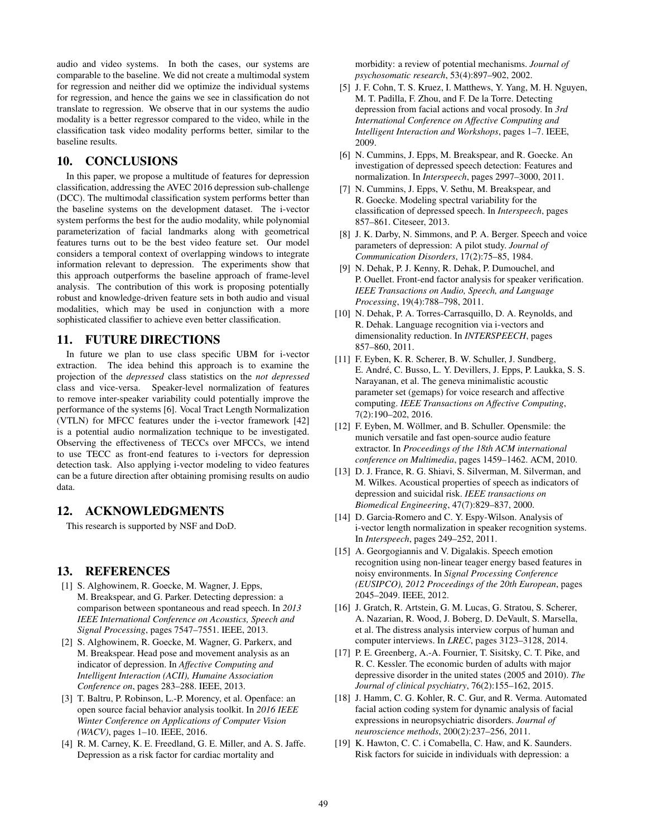audio and video systems. In both the cases, our systems are comparable to the baseline. We did not create a multimodal system for regression and neither did we optimize the individual systems for regression, and hence the gains we see in classification do not translate to regression. We observe that in our systems the audio modality is a better regressor compared to the video, while in the classification task video modality performs better, similar to the baseline results.

#### 10. CONCLUSIONS

In this paper, we propose a multitude of features for depression classification, addressing the AVEC 2016 depression sub-challenge (DCC). The multimodal classification system performs better than the baseline systems on the development dataset. The i-vector system performs the best for the audio modality, while polynomial parameterization of facial landmarks along with geometrical features turns out to be the best video feature set. Our model considers a temporal context of overlapping windows to integrate information relevant to depression. The experiments show that this approach outperforms the baseline approach of frame-level analysis. The contribution of this work is proposing potentially robust and knowledge-driven feature sets in both audio and visual modalities, which may be used in conjunction with a more sophisticated classifier to achieve even better classification.

## 11. FUTURE DIRECTIONS

In future we plan to use class specific UBM for i-vector extraction. The idea behind this approach is to examine the projection of the *depressed* class statistics on the *not depressed* class and vice-versa. Speaker-level normalization of features to remove inter-speaker variability could potentially improve the performance of the systems [6]. Vocal Tract Length Normalization (VTLN) for MFCC features under the i-vector framework [42] is a potential audio normalization technique to be investigated. Observing the effectiveness of TECCs over MFCCs, we intend to use TECC as front-end features to i-vectors for depression detection task. Also applying i-vector modeling to video features can be a future direction after obtaining promising results on audio data.

# 12. ACKNOWLEDGMENTS

This research is supported by NSF and DoD.

## 13. REFERENCES

- [1] S. Alghowinem, R. Goecke, M. Wagner, J. Epps, M. Breakspear, and G. Parker. Detecting depression: a comparison between spontaneous and read speech. In *2013 IEEE International Conference on Acoustics, Speech and Signal Processing*, pages 7547–7551. IEEE, 2013.
- [2] S. Alghowinem, R. Goecke, M. Wagner, G. Parkerx, and M. Breakspear. Head pose and movement analysis as an indicator of depression. In *Affective Computing and Intelligent Interaction (ACII), Humaine Association Conference on*, pages 283–288. IEEE, 2013.
- [3] T. Baltru, P. Robinson, L.-P. Morency, et al. Openface: an open source facial behavior analysis toolkit. In *2016 IEEE Winter Conference on Applications of Computer Vision (WACV)*, pages 1–10. IEEE, 2016.
- [4] R. M. Carney, K. E. Freedland, G. E. Miller, and A. S. Jaffe. Depression as a risk factor for cardiac mortality and

morbidity: a review of potential mechanisms. *Journal of psychosomatic research*, 53(4):897–902, 2002.

- [5] J. F. Cohn, T. S. Kruez, I. Matthews, Y. Yang, M. H. Nguyen, M. T. Padilla, F. Zhou, and F. De la Torre. Detecting depression from facial actions and vocal prosody. In *3rd International Conference on Affective Computing and Intelligent Interaction and Workshops*, pages 1–7. IEEE, 2009.
- [6] N. Cummins, J. Epps, M. Breakspear, and R. Goecke. An investigation of depressed speech detection: Features and normalization. In *Interspeech*, pages 2997–3000, 2011.
- [7] N. Cummins, J. Epps, V. Sethu, M. Breakspear, and R. Goecke. Modeling spectral variability for the classification of depressed speech. In *Interspeech*, pages 857–861. Citeseer, 2013.
- [8] J. K. Darby, N. Simmons, and P. A. Berger. Speech and voice parameters of depression: A pilot study. *Journal of Communication Disorders*, 17(2):75–85, 1984.
- [9] N. Dehak, P. J. Kenny, R. Dehak, P. Dumouchel, and P. Ouellet. Front-end factor analysis for speaker verification. *IEEE Transactions on Audio, Speech, and Language Processing*, 19(4):788–798, 2011.
- [10] N. Dehak, P. A. Torres-Carrasquillo, D. A. Reynolds, and R. Dehak. Language recognition via i-vectors and dimensionality reduction. In *INTERSPEECH*, pages 857–860, 2011.
- [11] F. Eyben, K. R. Scherer, B. W. Schuller, J. Sundberg, E. André, C. Busso, L. Y. Devillers, J. Epps, P. Laukka, S. S. Narayanan, et al. The geneva minimalistic acoustic parameter set (gemaps) for voice research and affective computing. *IEEE Transactions on Affective Computing*, 7(2):190–202, 2016.
- [12] F. Eyben, M. Wöllmer, and B. Schuller. Opensmile: the munich versatile and fast open-source audio feature extractor. In *Proceedings of the 18th ACM international conference on Multimedia*, pages 1459–1462. ACM, 2010.
- [13] D. J. France, R. G. Shiavi, S. Silverman, M. Silverman, and M. Wilkes. Acoustical properties of speech as indicators of depression and suicidal risk. *IEEE transactions on Biomedical Engineering*, 47(7):829–837, 2000.
- [14] D. Garcia-Romero and C. Y. Espy-Wilson. Analysis of i-vector length normalization in speaker recognition systems. In *Interspeech*, pages 249–252, 2011.
- [15] A. Georgogiannis and V. Digalakis. Speech emotion recognition using non-linear teager energy based features in noisy environments. In *Signal Processing Conference (EUSIPCO), 2012 Proceedings of the 20th European*, pages 2045–2049. IEEE, 2012.
- [16] J. Gratch, R. Artstein, G. M. Lucas, G. Stratou, S. Scherer, A. Nazarian, R. Wood, J. Boberg, D. DeVault, S. Marsella, et al. The distress analysis interview corpus of human and computer interviews. In *LREC*, pages 3123–3128, 2014.
- [17] P. E. Greenberg, A.-A. Fournier, T. Sisitsky, C. T. Pike, and R. C. Kessler. The economic burden of adults with major depressive disorder in the united states (2005 and 2010). *The Journal of clinical psychiatry*, 76(2):155–162, 2015.
- [18] J. Hamm, C. G. Kohler, R. C. Gur, and R. Verma. Automated facial action coding system for dynamic analysis of facial expressions in neuropsychiatric disorders. *Journal of neuroscience methods*, 200(2):237–256, 2011.
- [19] K. Hawton, C. C. i Comabella, C. Haw, and K. Saunders. Risk factors for suicide in individuals with depression: a